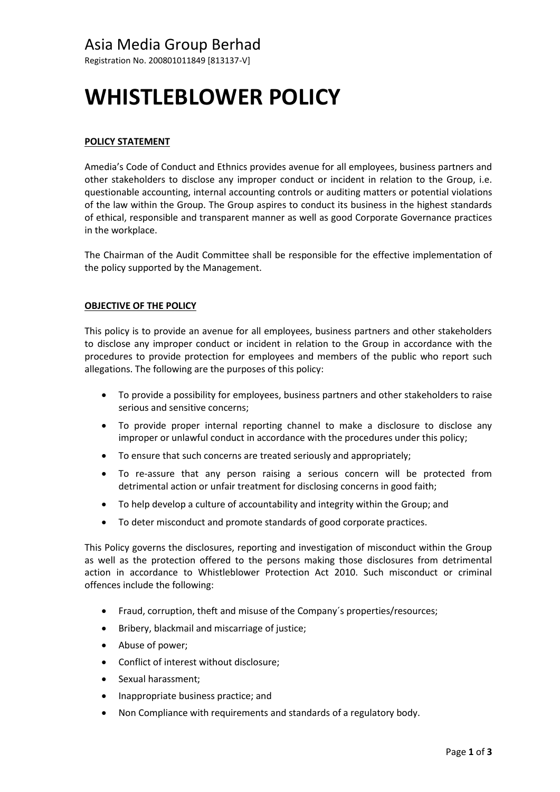Registration No. 200801011849 [813137-V]

# **WHISTLEBLOWER POLICY**

# **POLICY STATEMENT**

Amedia's Code of Conduct and Ethnics provides avenue for all employees, business partners and other stakeholders to disclose any improper conduct or incident in relation to the Group, i.e. questionable accounting, internal accounting controls or auditing matters or potential violations of the law within the Group. The Group aspires to conduct its business in the highest standards of ethical, responsible and transparent manner as well as good Corporate Governance practices in the workplace.

The Chairman of the Audit Committee shall be responsible for the effective implementation of the policy supported by the Management.

# **OBJECTIVE OF THE POLICY**

This policy is to provide an avenue for all employees, business partners and other stakeholders to disclose any improper conduct or incident in relation to the Group in accordance with the procedures to provide protection for employees and members of the public who report such allegations. The following are the purposes of this policy:

- To provide a possibility for employees, business partners and other stakeholders to raise serious and sensitive concerns;
- To provide proper internal reporting channel to make a disclosure to disclose any improper or unlawful conduct in accordance with the procedures under this policy;
- To ensure that such concerns are treated seriously and appropriately;
- To re-assure that any person raising a serious concern will be protected from detrimental action or unfair treatment for disclosing concerns in good faith;
- To help develop a culture of accountability and integrity within the Group; and
- To deter misconduct and promote standards of good corporate practices.

This Policy governs the disclosures, reporting and investigation of misconduct within the Group as well as the protection offered to the persons making those disclosures from detrimental action in accordance to Whistleblower Protection Act 2010. Such misconduct or criminal offences include the following:

- Fraud, corruption, theft and misuse of the Company´s properties/resources;
- Bribery, blackmail and miscarriage of justice;
- Abuse of power;
- Conflict of interest without disclosure;
- Sexual harassment;
- Inappropriate business practice; and
- Non Compliance with requirements and standards of a regulatory body.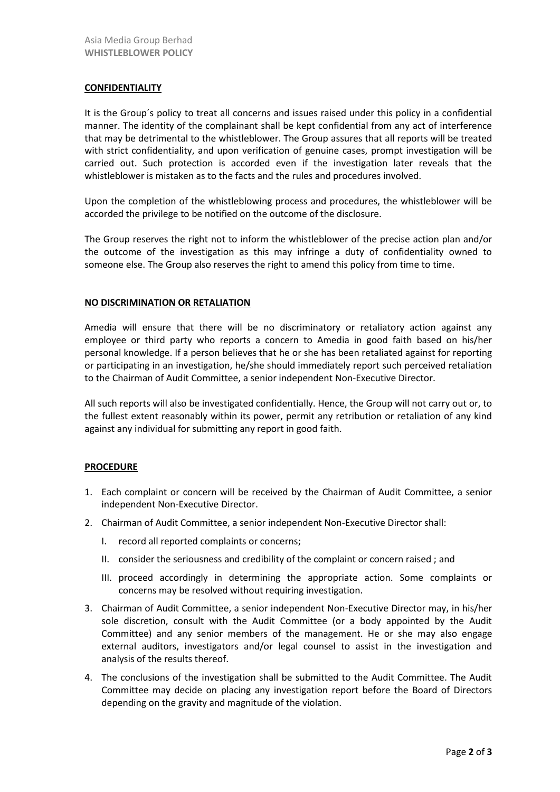## **CONFIDENTIALITY**

It is the Group´s policy to treat all concerns and issues raised under this policy in a confidential manner. The identity of the complainant shall be kept confidential from any act of interference that may be detrimental to the whistleblower. The Group assures that all reports will be treated with strict confidentiality, and upon verification of genuine cases, prompt investigation will be carried out. Such protection is accorded even if the investigation later reveals that the whistleblower is mistaken as to the facts and the rules and procedures involved.

Upon the completion of the whistleblowing process and procedures, the whistleblower will be accorded the privilege to be notified on the outcome of the disclosure.

The Group reserves the right not to inform the whistleblower of the precise action plan and/or the outcome of the investigation as this may infringe a duty of confidentiality owned to someone else. The Group also reserves the right to amend this policy from time to time.

#### **NO DISCRIMINATION OR RETALIATION**

Amedia will ensure that there will be no discriminatory or retaliatory action against any employee or third party who reports a concern to Amedia in good faith based on his/her personal knowledge. If a person believes that he or she has been retaliated against for reporting or participating in an investigation, he/she should immediately report such perceived retaliation to the Chairman of Audit Committee, a senior independent Non-Executive Director.

All such reports will also be investigated confidentially. Hence, the Group will not carry out or, to the fullest extent reasonably within its power, permit any retribution or retaliation of any kind against any individual for submitting any report in good faith.

## **PROCEDURE**

- 1. Each complaint or concern will be received by the Chairman of Audit Committee, a senior independent Non-Executive Director.
- 2. Chairman of Audit Committee, a senior independent Non-Executive Director shall:
	- I. record all reported complaints or concerns;
	- II. consider the seriousness and credibility of the complaint or concern raised ; and
	- III. proceed accordingly in determining the appropriate action. Some complaints or concerns may be resolved without requiring investigation.
- 3. Chairman of Audit Committee, a senior independent Non-Executive Director may, in his/her sole discretion, consult with the Audit Committee (or a body appointed by the Audit Committee) and any senior members of the management. He or she may also engage external auditors, investigators and/or legal counsel to assist in the investigation and analysis of the results thereof.
- 4. The conclusions of the investigation shall be submitted to the Audit Committee. The Audit Committee may decide on placing any investigation report before the Board of Directors depending on the gravity and magnitude of the violation.